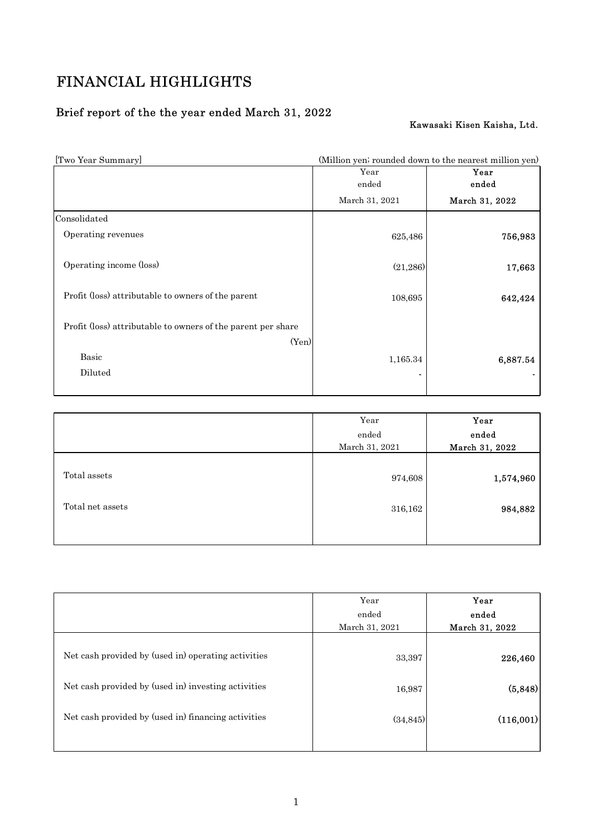# FINANCIAL HIGHLIGHTS

# Brief report of the the year ended March 31, 2022

## Kawasaki Kisen Kaisha, Ltd.

| FINANCIAL HIGHLIGHTS                                                  |                                                        |                             |
|-----------------------------------------------------------------------|--------------------------------------------------------|-----------------------------|
|                                                                       |                                                        |                             |
| Brief report of the the year ended March 31, 2022                     |                                                        |                             |
|                                                                       |                                                        | Kawasaki Kisen Kaisha, Ltd. |
| [Two Year Summary]                                                    | (Million yen; rounded down to the nearest million yen) |                             |
|                                                                       | Year<br>ended                                          | Year<br>ended               |
|                                                                       | March 31, 2021                                         | March 31, 2022              |
|                                                                       |                                                        |                             |
|                                                                       |                                                        |                             |
| Operating revenues                                                    | 625,486                                                | 756,983                     |
| Consolidated<br>Operating income (loss)                               | (21, 286)                                              | 17,663                      |
| Profit (loss) attributable to owners of the parent                    | 108,695                                                | 642,424                     |
|                                                                       |                                                        |                             |
| Profit (loss) attributable to owners of the parent per share<br>(Yen) |                                                        |                             |
| Basic                                                                 | 1,165.34                                               | 6,887.54                    |
| Diluted                                                               |                                                        |                             |

|                  | Year           | Year           |  |
|------------------|----------------|----------------|--|
|                  | ended          | ended          |  |
|                  | March 31, 2021 | March 31, 2022 |  |
|                  |                |                |  |
| Total assets     | 974,608        | 1,574,960      |  |
|                  |                |                |  |
| Total net assets | 316,162        | 984,882        |  |
|                  |                |                |  |
|                  |                |                |  |

|                                                     | Year<br>ended<br>March 31, 2021 | Year<br>ended<br>March 31, 2022 |
|-----------------------------------------------------|---------------------------------|---------------------------------|
| Net cash provided by (used in) operating activities | 33,397                          | 226,460                         |
| Net cash provided by (used in) investing activities | 16,987                          | (5,848)                         |
| Net cash provided by (used in) financing activities | (34, 845)                       | (116,001)                       |
|                                                     |                                 |                                 |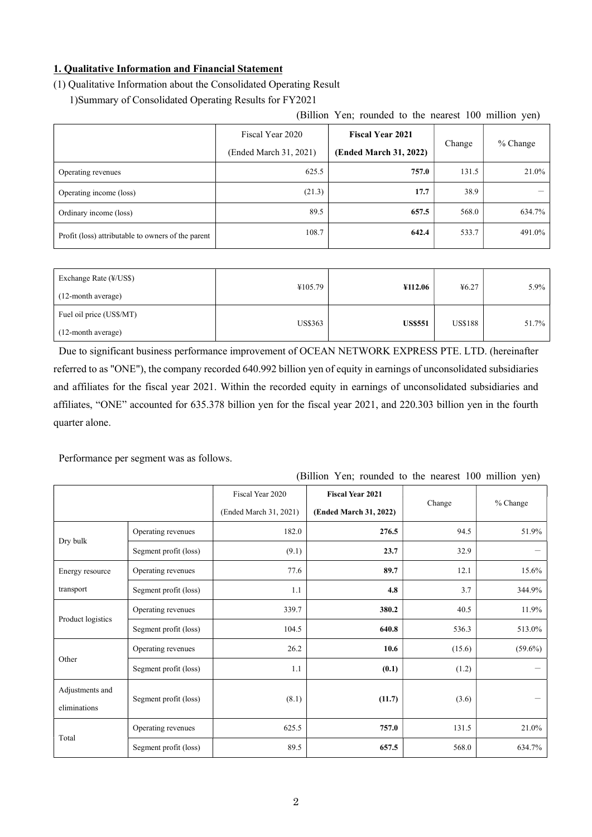## 1. Qualitative Information and Financial Statement

## (1) Qualitative Information about the Consolidated Operating Result

1)Summary of Consolidated Operating Results for FY2021

## (Billion Yen; rounded to the nearest 100 million yen)

|                                                    | Fiscal Year 2020<br>(Ended March 31, 2021) | <b>Fiscal Year 2021</b><br>(Ended March 31, 2022) | Change | $%$ Change |
|----------------------------------------------------|--------------------------------------------|---------------------------------------------------|--------|------------|
| Operating revenues                                 | 625.5                                      | 757.0                                             | 131.5  | 21.0%      |
| Operating income (loss)                            | (21.3)                                     | 17.7                                              | 38.9   |            |
| Ordinary income (loss)                             | 89.5                                       | 657.5                                             | 568.0  | 634.7%     |
| Profit (loss) attributable to owners of the parent | 108.7                                      | 642.4                                             | 533.7  | 491.0%     |

| Exchange Rate (¥/US\$)<br>(12-month average)   | ¥105.79        | ¥112.06        | 46.27          | $5.9\%$ |
|------------------------------------------------|----------------|----------------|----------------|---------|
| Fuel oil price (US\$/MT)<br>(12-month average) | <b>US\$363</b> | <b>US\$551</b> | <b>US\$188</b> | 51.7%   |

Due to significant business performance improvement of OCEAN NETWORK EXPRESS PTE. LTD. (hereinafter referred to as "ONE"), the company recorded 640.992 billion yen of equity in earnings of unconsolidated subsidiaries and affiliates for the fiscal year 2021. Within the recorded equity in earnings of unconsolidated subsidiaries and affiliates, "ONE" accounted for 635.378 billion yen for the fiscal year 2021, and 220.303 billion yen in the fourth quarter alone.

Performance per segment was as follows.

# (Billion Yen; rounded to the nearest 100 million yen)

|                                 |                       | Fiscal Year 2020<br>(Ended March 31, 2021) | <b>Fiscal Year 2021</b><br>(Ended March 31, 2022) | Change | % Change   |
|---------------------------------|-----------------------|--------------------------------------------|---------------------------------------------------|--------|------------|
|                                 | Operating revenues    | 182.0                                      | 276.5                                             | 94.5   | 51.9%      |
| Dry bulk                        | Segment profit (loss) | (9.1)                                      | 23.7                                              | 32.9   |            |
| Energy resource                 | Operating revenues    | 77.6                                       | 89.7                                              | 12.1   | 15.6%      |
| transport                       | Segment profit (loss) | 1.1                                        | 4.8                                               | 3.7    | 344.9%     |
|                                 | Operating revenues    | 339.7                                      | 380.2                                             | 40.5   | 11.9%      |
| Product logistics               | Segment profit (loss) | 104.5                                      | 640.8                                             | 536.3  | 513.0%     |
|                                 | Operating revenues    | 26.2                                       | 10.6                                              | (15.6) | $(59.6\%)$ |
| Other                           | Segment profit (loss) | 1.1                                        | (0.1)                                             | (1.2)  |            |
| Adjustments and<br>eliminations | Segment profit (loss) | (8.1)                                      | (11.7)                                            | (3.6)  |            |
| Total                           | Operating revenues    | 625.5                                      | 757.0                                             | 131.5  | 21.0%      |
|                                 | Segment profit (loss) | 89.5                                       | 657.5                                             | 568.0  | 634.7%     |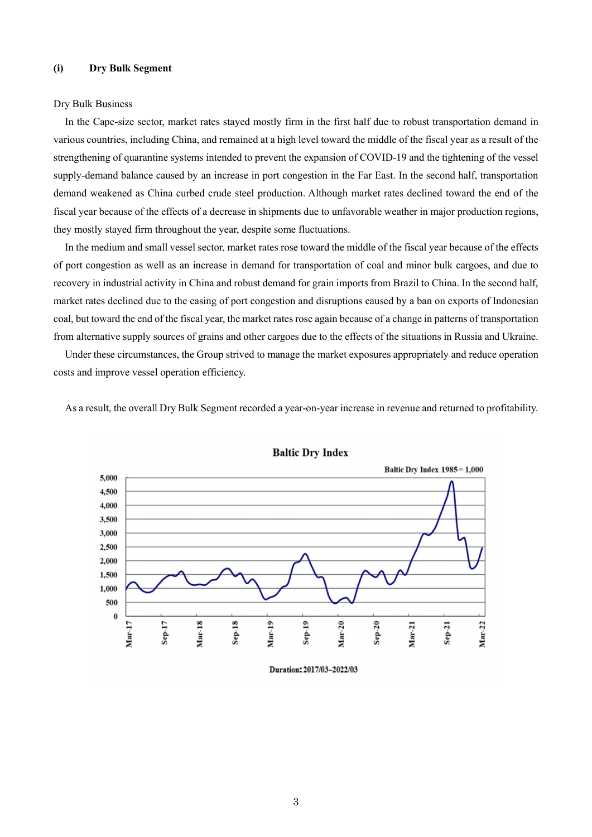### (i) Dry Bulk Segment

#### Dry Bulk Business

In the Cape-size sector, market rates stayed mostly firm in the first half due to robust transportation demand in various countries, including China, and remained at a high level toward the middle of the fiscal year as a result of the strengthening of quarantine systems intended to prevent the expansion of COVID-19 and the tightening of the vessel supply-demand balance caused by an increase in port congestion in the Far East. In the second half, transportation demand weakened as China curbed crude steel production. Although market rates declined toward the end of the fiscal year because of the effects of a decrease in shipments due to unfavorable weather in major production regions, they mostly stayed firm throughout the year, despite some fluctuations.

In the medium and small vessel sector, market rates rose toward the middle of the fiscal year because of the effects of port congestion as well as an increase in demand for transportation of coal and minor bulk cargoes, and due to recovery in industrial activity in China and robust demand for grain imports from Brazil to China. In the second half, market rates declined due to the easing of port congestion and disruptions caused by a ban on exports of Indonesian coal, but toward the end of the fiscal year, the market rates rose again because of a change in patterns of transportation from alternative supply sources of grains and other cargoes due to the effects of the situations in Russia and Ukraine.

Under these circumstances, the Group strived to manage the market exposures appropriately and reduce operation costs and improve vessel operation efficiency.

As a result, the overall Dry Bulk Segment recorded a year-on-year increase in revenue and returned to profitability.





Duration: 2017/03~2022/03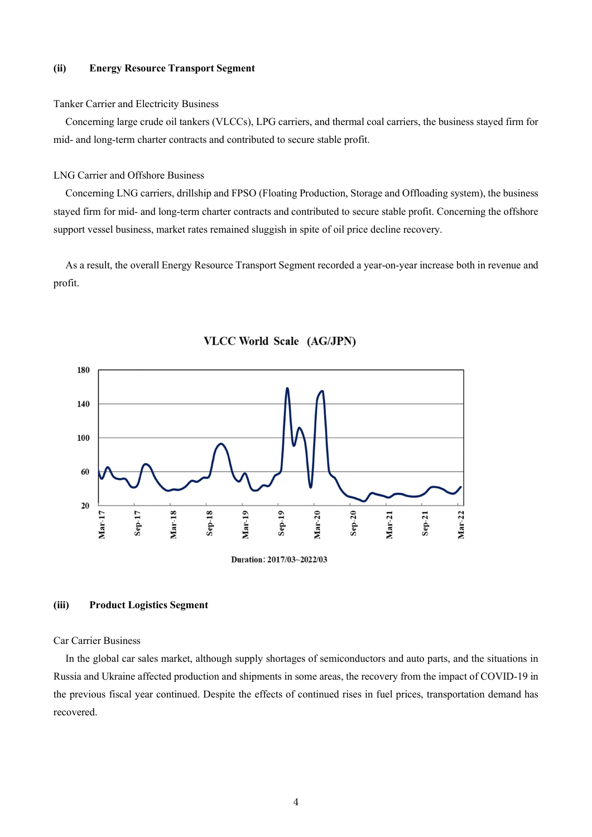### (ii) Energy Resource Transport Segment

#### Tanker Carrier and Electricity Business

Concerning large crude oil tankers (VLCCs), LPG carriers, and thermal coal carriers, the business stayed firm for mid- and long-term charter contracts and contributed to secure stable profit.

#### LNG Carrier and Offshore Business

Concerning LNG carriers, drillship and FPSO (Floating Production, Storage and Offloading system), the business stayed firm for mid- and long-term charter contracts and contributed to secure stable profit. Concerning the offshore support vessel business, market rates remained sluggish in spite of oil price decline recovery.

As a result, the overall Energy Resource Transport Segment recorded a year-on-year increase both in revenue and profit.





## (iii) Product Logistics Segment

#### Car Carrier Business

In the global car sales market, although supply shortages of semiconductors and auto parts, and the situations in Russia and Ukraine affected production and shipments in some areas, the recovery from the impact of COVID-19 in the previous fiscal year continued. Despite the effects of continued rises in fuel prices, transportation demand has recovered.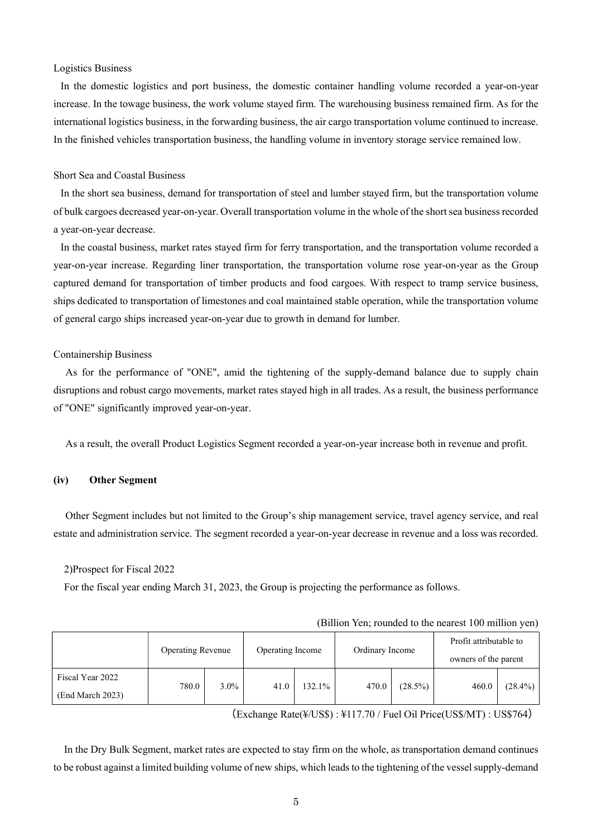#### Logistics Business

In the domestic logistics and port business, the domestic container handling volume recorded a year-on-year increase. In the towage business, the work volume stayed firm. The warehousing business remained firm. As for the international logistics business, in the forwarding business, the air cargo transportation volume continued to increase. In the finished vehicles transportation business, the handling volume in inventory storage service remained low.

#### Short Sea and Coastal Business

In the short sea business, demand for transportation of steel and lumber stayed firm, but the transportation volume of bulk cargoes decreased year-on-year. Overall transportation volume in the whole of the short sea business recorded a year-on-year decrease.

In the coastal business, market rates stayed firm for ferry transportation, and the transportation volume recorded a year-on-year increase. Regarding liner transportation, the transportation volume rose year-on-year as the Group captured demand for transportation of timber products and food cargoes. With respect to tramp service business, ships dedicated to transportation of limestones and coal maintained stable operation, while the transportation volume of general cargo ships increased year-on-year due to growth in demand for lumber.

#### Containership Business

As for the performance of "ONE", amid the tightening of the supply-demand balance due to supply chain disruptions and robust cargo movements, market rates stayed high in all trades. As a result, the business performance of "ONE" significantly improved year-on-year.

As a result, the overall Product Logistics Segment recorded a year-on-year increase both in revenue and profit.

#### (iv) Other Segment

Other Segment includes but not limited to the Group's ship management service, travel agency service, and real estate and administration service. The segment recorded a year-on-year decrease in revenue and a loss was recorded.

2)Prospect for Fiscal 2022

For the fiscal year ending March 31, 2023, the Group is projecting the performance as follows.

|                                      | <b>Operating Revenue</b> |         | Operating Income |        | Ordinary Income |            | Profit attributable to<br>owners of the parent |            |
|--------------------------------------|--------------------------|---------|------------------|--------|-----------------|------------|------------------------------------------------|------------|
| Fiscal Year 2022<br>(End March 2023) | 780.0                    | $3.0\%$ | 41.0             | 132.1% | 470.0           | $(28.5\%)$ | 460.0                                          | $(28.4\%)$ |

(Billion Yen; rounded to the nearest 100 million yen)

(Exchange Rate(¥/US\$) : ¥117.70 / Fuel Oil Price(US\$/MT) : US\$764)

In the Dry Bulk Segment, market rates are expected to stay firm on the whole, as transportation demand continues to be robust against a limited building volume of new ships, which leads to the tightening of the vessel supply-demand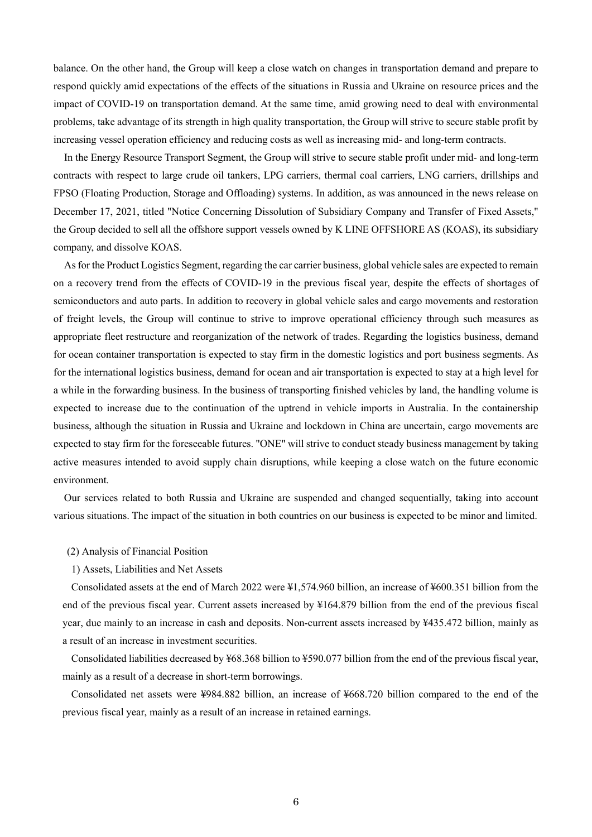balance. On the other hand, the Group will keep a close watch on changes in transportation demand and prepare to respond quickly amid expectations of the effects of the situations in Russia and Ukraine on resource prices and the impact of COVID-19 on transportation demand. At the same time, amid growing need to deal with environmental problems, take advantage of its strength in high quality transportation, the Group will strive to secure stable profit by increasing vessel operation efficiency and reducing costs as well as increasing mid- and long-term contracts.

In the Energy Resource Transport Segment, the Group will strive to secure stable profit under mid- and long-term contracts with respect to large crude oil tankers, LPG carriers, thermal coal carriers, LNG carriers, drillships and FPSO (Floating Production, Storage and Offloading) systems. In addition, as was announced in the news release on December 17, 2021, titled "Notice Concerning Dissolution of Subsidiary Company and Transfer of Fixed Assets," the Group decided to sell all the offshore support vessels owned by K LINE OFFSHORE AS (KOAS), its subsidiary company, and dissolve KOAS.

As for the Product Logistics Segment, regarding the car carrier business, global vehicle sales are expected to remain on a recovery trend from the effects of COVID-19 in the previous fiscal year, despite the effects of shortages of semiconductors and auto parts. In addition to recovery in global vehicle sales and cargo movements and restoration of freight levels, the Group will continue to strive to improve operational efficiency through such measures as appropriate fleet restructure and reorganization of the network of trades. Regarding the logistics business, demand for ocean container transportation is expected to stay firm in the domestic logistics and port business segments. As for the international logistics business, demand for ocean and air transportation is expected to stay at a high level for a while in the forwarding business. In the business of transporting finished vehicles by land, the handling volume is expected to increase due to the continuation of the uptrend in vehicle imports in Australia. In the containership business, although the situation in Russia and Ukraine and lockdown in China are uncertain, cargo movements are expected to stay firm for the foreseeable futures. "ONE" will strive to conduct steady business management by taking active measures intended to avoid supply chain disruptions, while keeping a close watch on the future economic environment.

Our services related to both Russia and Ukraine are suspended and changed sequentially, taking into account various situations. The impact of the situation in both countries on our business is expected to be minor and limited.

#### (2) Analysis of Financial Position

1) Assets, Liabilities and Net Assets

Consolidated assets at the end of March 2022 were ¥1,574.960 billion, an increase of ¥600.351 billion from the end of the previous fiscal year. Current assets increased by ¥164.879 billion from the end of the previous fiscal year, due mainly to an increase in cash and deposits. Non-current assets increased by ¥435.472 billion, mainly as a result of an increase in investment securities.

Consolidated liabilities decreased by ¥68.368 billion to ¥590.077 billion from the end of the previous fiscal year, mainly as a result of a decrease in short-term borrowings.

Consolidated net assets were ¥984.882 billion, an increase of ¥668.720 billion compared to the end of the previous fiscal year, mainly as a result of an increase in retained earnings.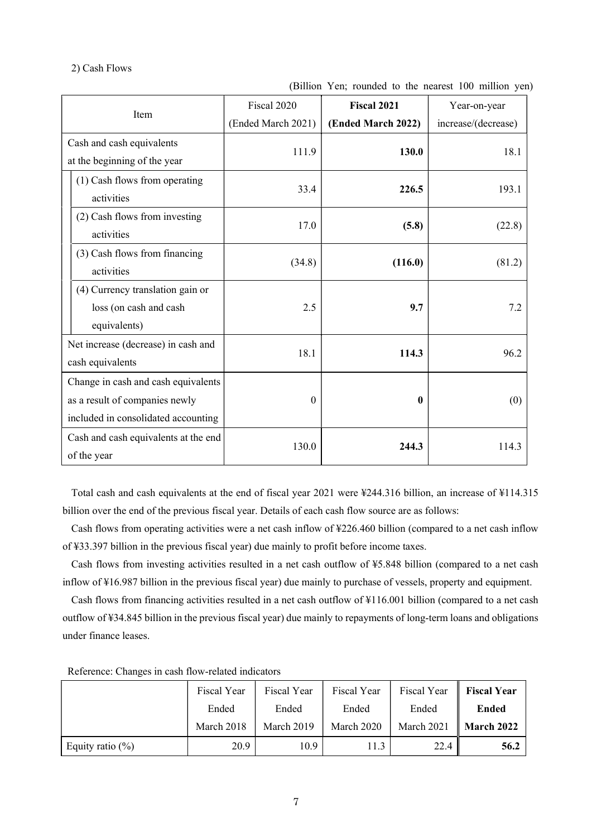### 2) Cash Flows

| Item                                 | Fiscal 2020        | <b>Fiscal 2021</b> | Year-on-year        |
|--------------------------------------|--------------------|--------------------|---------------------|
|                                      | (Ended March 2021) | (Ended March 2022) | increase/(decrease) |
| Cash and cash equivalents            | 111.9              | 130.0              | 18.1                |
| at the beginning of the year         |                    |                    |                     |
| (1) Cash flows from operating        | 33.4               | 226.5              | 193.1               |
| activities                           |                    |                    |                     |
| (2) Cash flows from investing        | 17.0               | (5.8)              | (22.8)              |
| activities                           |                    |                    |                     |
| (3) Cash flows from financing        | (34.8)             | (116.0)            | (81.2)              |
| activities                           |                    |                    |                     |
| (4) Currency translation gain or     |                    |                    |                     |
| loss (on cash and cash               | 2.5                | 9.7                | 7.2                 |
| equivalents)                         |                    |                    |                     |
| Net increase (decrease) in cash and  | 18.1               | 114.3              | 96.2                |
| cash equivalents                     |                    |                    |                     |
| Change in cash and cash equivalents  |                    |                    |                     |
| as a result of companies newly       | $\boldsymbol{0}$   | $\mathbf{0}$       | (0)                 |
| included in consolidated accounting  |                    |                    |                     |
| Cash and cash equivalents at the end |                    |                    |                     |
| of the year                          | 130.0              | 244.3              | 114.3               |

(Billion Yen; rounded to the nearest 100 million yen)

Total cash and cash equivalents at the end of fiscal year 2021 were ¥244.316 billion, an increase of ¥114.315 billion over the end of the previous fiscal year. Details of each cash flow source are as follows:

Cash flows from operating activities were a net cash inflow of ¥226.460 billion (compared to a net cash inflow of ¥33.397 billion in the previous fiscal year) due mainly to profit before income taxes.

Cash flows from investing activities resulted in a net cash outflow of ¥5.848 billion (compared to a net cash inflow of ¥16.987 billion in the previous fiscal year) due mainly to purchase of vessels, property and equipment.

Cash flows from financing activities resulted in a net cash outflow of ¥116.001 billion (compared to a net cash outflow of ¥34.845 billion in the previous fiscal year) due mainly to repayments of long-term loans and obligations under finance leases.

|                     | Fiscal Year | Fiscal Year | Fiscal Year | Fiscal Year | <b>Fiscal Year</b> |
|---------------------|-------------|-------------|-------------|-------------|--------------------|
|                     | Ended       | Ended       | Ended       | Ended       | <b>Ended</b>       |
|                     | March 2018  | March 2019  | March 2020  | March 2021  | <b>March 2022</b>  |
| Equity ratio $(\%)$ | 20.9        | 10.9        | 11.3        | 22.4        | 56.2               |

Reference: Changes in cash flow-related indicators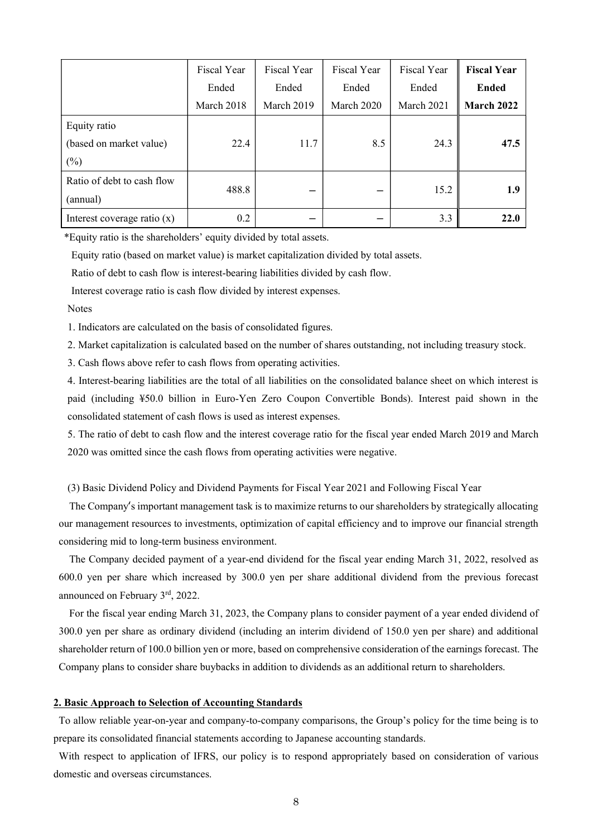|                               | Fiscal Year | Fiscal Year | Fiscal Year | Fiscal Year | <b>Fiscal Year</b> |
|-------------------------------|-------------|-------------|-------------|-------------|--------------------|
|                               | Ended       | Ended       | Ended       | Ended       | <b>Ended</b>       |
|                               | March 2018  | March 2019  | March 2020  | March 2021  | March 2022         |
| Equity ratio                  |             |             |             |             |                    |
| (based on market value)       | 22.4        | 11.7        | 8.5         | 24.3        | 47.5               |
| $(\%)$                        |             |             |             |             |                    |
| Ratio of debt to cash flow    |             |             |             |             |                    |
| (annual)                      | 488.8       |             |             | 15.2        | 1.9                |
| Interest coverage ratio $(x)$ | 0.2         |             |             | 3.3         | 22.0               |

\*Equity ratio is the shareholders' equity divided by total assets.

Equity ratio (based on market value) is market capitalization divided by total assets.

Ratio of debt to cash flow is interest-bearing liabilities divided by cash flow.

Interest coverage ratio is cash flow divided by interest expenses.

### Notes

1. Indicators are calculated on the basis of consolidated figures.

2. Market capitalization is calculated based on the number of shares outstanding, not including treasury stock.

3. Cash flows above refer to cash flows from operating activities.

4. Interest-bearing liabilities are the total of all liabilities on the consolidated balance sheet on which interest is paid (including ¥50.0 billion in Euro-Yen Zero Coupon Convertible Bonds). Interest paid shown in the consolidated statement of cash flows is used as interest expenses.

5. The ratio of debt to cash flow and the interest coverage ratio for the fiscal year ended March 2019 and March 2020 was omitted since the cash flows from operating activities were negative.

(3) Basic Dividend Policy and Dividend Payments for Fiscal Year 2021 and Following Fiscal Year

The Company's important management task is to maximize returns to our shareholders by strategically allocating our management resources to investments, optimization of capital efficiency and to improve our financial strength considering mid to long-term business environment.

The Company decided payment of a year-end dividend for the fiscal year ending March 31, 2022, resolved as 600.0 yen per share which increased by 300.0 yen per share additional dividend from the previous forecast announced on February 3rd, 2022.

For the fiscal year ending March 31, 2023, the Company plans to consider payment of a year ended dividend of 300.0 yen per share as ordinary dividend (including an interim dividend of 150.0 yen per share) and additional shareholder return of 100.0 billion yen or more, based on comprehensive consideration of the earnings forecast. The Company plans to consider share buybacks in addition to dividends as an additional return to shareholders.

## 2. Basic Approach to Selection of Accounting Standards

To allow reliable year-on-year and company-to-company comparisons, the Group's policy for the time being is to prepare its consolidated financial statements according to Japanese accounting standards.

With respect to application of IFRS, our policy is to respond appropriately based on consideration of various domestic and overseas circumstances.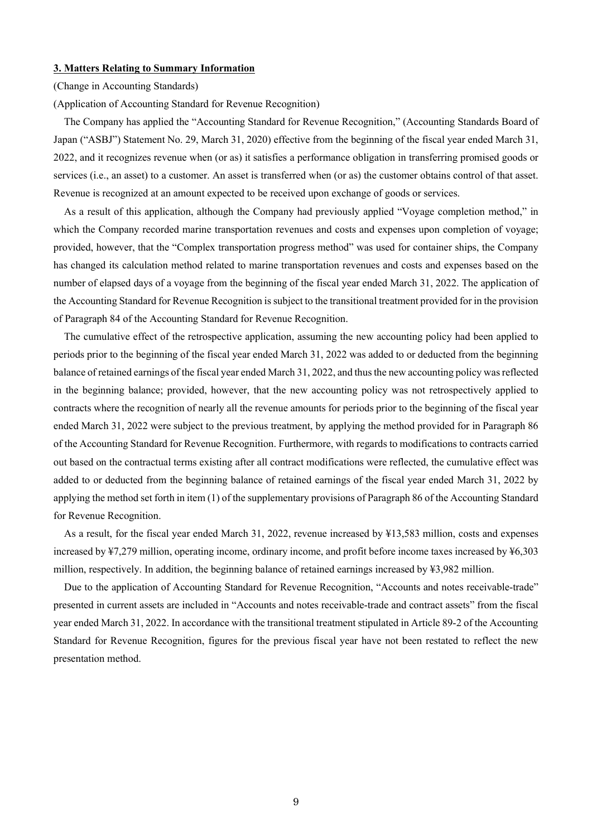#### 3. Matters Relating to Summary Information

#### (Change in Accounting Standards)

(Application of Accounting Standard for Revenue Recognition)

The Company has applied the "Accounting Standard for Revenue Recognition," (Accounting Standards Board of Japan ("ASBJ") Statement No. 29, March 31, 2020) effective from the beginning of the fiscal year ended March 31, 2022, and it recognizes revenue when (or as) it satisfies a performance obligation in transferring promised goods or services (i.e., an asset) to a customer. An asset is transferred when (or as) the customer obtains control of that asset. Revenue is recognized at an amount expected to be received upon exchange of goods or services.

As a result of this application, although the Company had previously applied "Voyage completion method," in which the Company recorded marine transportation revenues and costs and expenses upon completion of voyage; provided, however, that the "Complex transportation progress method" was used for container ships, the Company has changed its calculation method related to marine transportation revenues and costs and expenses based on the number of elapsed days of a voyage from the beginning of the fiscal year ended March 31, 2022. The application of the Accounting Standard for Revenue Recognition is subject to the transitional treatment provided for in the provision of Paragraph 84 of the Accounting Standard for Revenue Recognition.

The cumulative effect of the retrospective application, assuming the new accounting policy had been applied to periods prior to the beginning of the fiscal year ended March 31, 2022 was added to or deducted from the beginning balance of retained earnings of the fiscal year ended March 31, 2022, and thus the new accounting policy was reflected in the beginning balance; provided, however, that the new accounting policy was not retrospectively applied to contracts where the recognition of nearly all the revenue amounts for periods prior to the beginning of the fiscal year ended March 31, 2022 were subject to the previous treatment, by applying the method provided for in Paragraph 86 of the Accounting Standard for Revenue Recognition. Furthermore, with regards to modifications to contracts carried out based on the contractual terms existing after all contract modifications were reflected, the cumulative effect was added to or deducted from the beginning balance of retained earnings of the fiscal year ended March 31, 2022 by applying the method set forth in item (1) of the supplementary provisions of Paragraph 86 of the Accounting Standard for Revenue Recognition.

As a result, for the fiscal year ended March 31, 2022, revenue increased by ¥13,583 million, costs and expenses increased by ¥7,279 million, operating income, ordinary income, and profit before income taxes increased by ¥6,303 million, respectively. In addition, the beginning balance of retained earnings increased by ¥3,982 million.

Due to the application of Accounting Standard for Revenue Recognition, "Accounts and notes receivable-trade" presented in current assets are included in "Accounts and notes receivable-trade and contract assets" from the fiscal year ended March 31, 2022. In accordance with the transitional treatment stipulated in Article 89-2 of the Accounting Standard for Revenue Recognition, figures for the previous fiscal year have not been restated to reflect the new presentation method.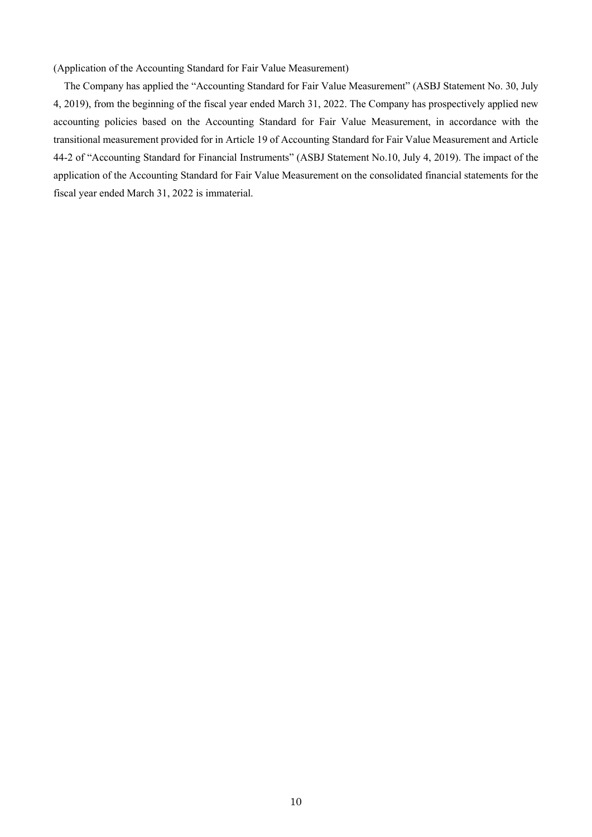(Application of the Accounting Standard for Fair Value Measurement)

The Company has applied the "Accounting Standard for Fair Value Measurement" (ASBJ Statement No. 30, July 4, 2019), from the beginning of the fiscal year ended March 31, 2022. The Company has prospectively applied new accounting policies based on the Accounting Standard for Fair Value Measurement, in accordance with the transitional measurement provided for in Article 19 of Accounting Standard for Fair Value Measurement and Article 44-2 of "Accounting Standard for Financial Instruments" (ASBJ Statement No.10, July 4, 2019). The impact of the application of the Accounting Standard for Fair Value Measurement on the consolidated financial statements for the fiscal year ended March 31, 2022 is immaterial.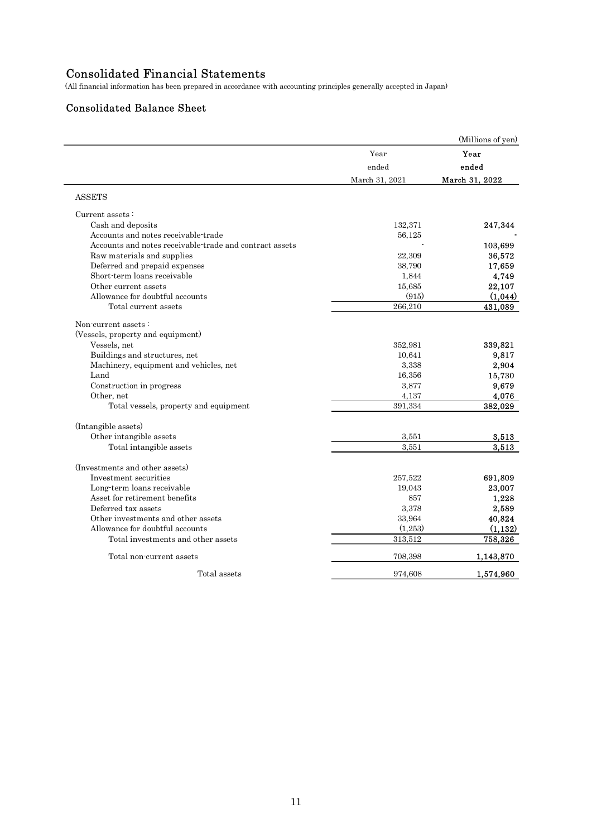# Consolidated Financial Statements

## Consolidated Balance Sheet

| <b>Consolidated Financial Statements</b><br>(All financial information has been prepared in accordance with accounting principles generally accepted in Japan)<br><b>Consolidated Balance Sheet</b><br>Year<br>Year<br>ended<br>ended<br>March 31, 2022<br>March 31, 2021<br><b>ASSETS</b><br>Current assets:<br>Cash and deposits<br>132,371<br>247,344<br>Accounts and notes receivable-trade<br>56,125<br>Accounts and notes receivable-trade and contract assets<br>103,699<br>22,309<br>Raw materials and supplies<br>36,572<br>Deferred and prepaid expenses<br>38,790<br>17,659<br>Short-term loans receivable<br>1,844<br>4,749<br>Other current assets<br>22,107<br>15,685<br>Allowance for doubtful accounts<br>(915)<br>266,210<br>431,089<br>Total current assets<br>Non-current assets:<br>(Vessels, property and equipment)<br>Vessels, net<br>352,981<br>339,821<br>Buildings and structures, net<br>10,641<br>9,817<br>Machinery, equipment and vehicles, net<br>3,338<br>2,904<br>Land<br>16,356<br>15,730<br>9,679<br>Construction in progress<br>3,877<br>4,137<br>4,076<br>Other, net<br>391,334<br>382,029<br>Total vessels, property and equipment<br>(Intangible assets)<br>Other intangible assets<br>3,551<br>Total intangible assets<br>3,551<br>(Investments and other assets)<br>Investment securities<br>257,522<br>691,809<br>Long-term loans receivable<br>19,043<br>23,007<br>Asset for retirement benefits<br>857<br>1,228<br>Deferred tax assets<br>3,378<br>2,589<br>Other investments and other assets<br>33,964<br>40,824<br>Allowance for doubtful accounts<br>(1,253)<br>313,512<br>758,326<br>Total investments and other assets<br>708,398<br>Total non-current assets<br>1,143,870<br>Total assets<br>1,574,960 |         |  |
|-----------------------------------------------------------------------------------------------------------------------------------------------------------------------------------------------------------------------------------------------------------------------------------------------------------------------------------------------------------------------------------------------------------------------------------------------------------------------------------------------------------------------------------------------------------------------------------------------------------------------------------------------------------------------------------------------------------------------------------------------------------------------------------------------------------------------------------------------------------------------------------------------------------------------------------------------------------------------------------------------------------------------------------------------------------------------------------------------------------------------------------------------------------------------------------------------------------------------------------------------------------------------------------------------------------------------------------------------------------------------------------------------------------------------------------------------------------------------------------------------------------------------------------------------------------------------------------------------------------------------------------------------------------------------------------------------------------------------------------------------------------|---------|--|
| (Millions of yen)<br>(1,044)<br>3,513<br>3,513<br>(1, 132)                                                                                                                                                                                                                                                                                                                                                                                                                                                                                                                                                                                                                                                                                                                                                                                                                                                                                                                                                                                                                                                                                                                                                                                                                                                                                                                                                                                                                                                                                                                                                                                                                                                                                                |         |  |
|                                                                                                                                                                                                                                                                                                                                                                                                                                                                                                                                                                                                                                                                                                                                                                                                                                                                                                                                                                                                                                                                                                                                                                                                                                                                                                                                                                                                                                                                                                                                                                                                                                                                                                                                                           |         |  |
|                                                                                                                                                                                                                                                                                                                                                                                                                                                                                                                                                                                                                                                                                                                                                                                                                                                                                                                                                                                                                                                                                                                                                                                                                                                                                                                                                                                                                                                                                                                                                                                                                                                                                                                                                           |         |  |
|                                                                                                                                                                                                                                                                                                                                                                                                                                                                                                                                                                                                                                                                                                                                                                                                                                                                                                                                                                                                                                                                                                                                                                                                                                                                                                                                                                                                                                                                                                                                                                                                                                                                                                                                                           |         |  |
|                                                                                                                                                                                                                                                                                                                                                                                                                                                                                                                                                                                                                                                                                                                                                                                                                                                                                                                                                                                                                                                                                                                                                                                                                                                                                                                                                                                                                                                                                                                                                                                                                                                                                                                                                           |         |  |
|                                                                                                                                                                                                                                                                                                                                                                                                                                                                                                                                                                                                                                                                                                                                                                                                                                                                                                                                                                                                                                                                                                                                                                                                                                                                                                                                                                                                                                                                                                                                                                                                                                                                                                                                                           |         |  |
|                                                                                                                                                                                                                                                                                                                                                                                                                                                                                                                                                                                                                                                                                                                                                                                                                                                                                                                                                                                                                                                                                                                                                                                                                                                                                                                                                                                                                                                                                                                                                                                                                                                                                                                                                           |         |  |
|                                                                                                                                                                                                                                                                                                                                                                                                                                                                                                                                                                                                                                                                                                                                                                                                                                                                                                                                                                                                                                                                                                                                                                                                                                                                                                                                                                                                                                                                                                                                                                                                                                                                                                                                                           |         |  |
|                                                                                                                                                                                                                                                                                                                                                                                                                                                                                                                                                                                                                                                                                                                                                                                                                                                                                                                                                                                                                                                                                                                                                                                                                                                                                                                                                                                                                                                                                                                                                                                                                                                                                                                                                           |         |  |
|                                                                                                                                                                                                                                                                                                                                                                                                                                                                                                                                                                                                                                                                                                                                                                                                                                                                                                                                                                                                                                                                                                                                                                                                                                                                                                                                                                                                                                                                                                                                                                                                                                                                                                                                                           |         |  |
|                                                                                                                                                                                                                                                                                                                                                                                                                                                                                                                                                                                                                                                                                                                                                                                                                                                                                                                                                                                                                                                                                                                                                                                                                                                                                                                                                                                                                                                                                                                                                                                                                                                                                                                                                           |         |  |
|                                                                                                                                                                                                                                                                                                                                                                                                                                                                                                                                                                                                                                                                                                                                                                                                                                                                                                                                                                                                                                                                                                                                                                                                                                                                                                                                                                                                                                                                                                                                                                                                                                                                                                                                                           |         |  |
|                                                                                                                                                                                                                                                                                                                                                                                                                                                                                                                                                                                                                                                                                                                                                                                                                                                                                                                                                                                                                                                                                                                                                                                                                                                                                                                                                                                                                                                                                                                                                                                                                                                                                                                                                           |         |  |
|                                                                                                                                                                                                                                                                                                                                                                                                                                                                                                                                                                                                                                                                                                                                                                                                                                                                                                                                                                                                                                                                                                                                                                                                                                                                                                                                                                                                                                                                                                                                                                                                                                                                                                                                                           |         |  |
|                                                                                                                                                                                                                                                                                                                                                                                                                                                                                                                                                                                                                                                                                                                                                                                                                                                                                                                                                                                                                                                                                                                                                                                                                                                                                                                                                                                                                                                                                                                                                                                                                                                                                                                                                           |         |  |
|                                                                                                                                                                                                                                                                                                                                                                                                                                                                                                                                                                                                                                                                                                                                                                                                                                                                                                                                                                                                                                                                                                                                                                                                                                                                                                                                                                                                                                                                                                                                                                                                                                                                                                                                                           |         |  |
|                                                                                                                                                                                                                                                                                                                                                                                                                                                                                                                                                                                                                                                                                                                                                                                                                                                                                                                                                                                                                                                                                                                                                                                                                                                                                                                                                                                                                                                                                                                                                                                                                                                                                                                                                           |         |  |
|                                                                                                                                                                                                                                                                                                                                                                                                                                                                                                                                                                                                                                                                                                                                                                                                                                                                                                                                                                                                                                                                                                                                                                                                                                                                                                                                                                                                                                                                                                                                                                                                                                                                                                                                                           |         |  |
|                                                                                                                                                                                                                                                                                                                                                                                                                                                                                                                                                                                                                                                                                                                                                                                                                                                                                                                                                                                                                                                                                                                                                                                                                                                                                                                                                                                                                                                                                                                                                                                                                                                                                                                                                           |         |  |
|                                                                                                                                                                                                                                                                                                                                                                                                                                                                                                                                                                                                                                                                                                                                                                                                                                                                                                                                                                                                                                                                                                                                                                                                                                                                                                                                                                                                                                                                                                                                                                                                                                                                                                                                                           |         |  |
|                                                                                                                                                                                                                                                                                                                                                                                                                                                                                                                                                                                                                                                                                                                                                                                                                                                                                                                                                                                                                                                                                                                                                                                                                                                                                                                                                                                                                                                                                                                                                                                                                                                                                                                                                           |         |  |
|                                                                                                                                                                                                                                                                                                                                                                                                                                                                                                                                                                                                                                                                                                                                                                                                                                                                                                                                                                                                                                                                                                                                                                                                                                                                                                                                                                                                                                                                                                                                                                                                                                                                                                                                                           |         |  |
|                                                                                                                                                                                                                                                                                                                                                                                                                                                                                                                                                                                                                                                                                                                                                                                                                                                                                                                                                                                                                                                                                                                                                                                                                                                                                                                                                                                                                                                                                                                                                                                                                                                                                                                                                           |         |  |
|                                                                                                                                                                                                                                                                                                                                                                                                                                                                                                                                                                                                                                                                                                                                                                                                                                                                                                                                                                                                                                                                                                                                                                                                                                                                                                                                                                                                                                                                                                                                                                                                                                                                                                                                                           |         |  |
|                                                                                                                                                                                                                                                                                                                                                                                                                                                                                                                                                                                                                                                                                                                                                                                                                                                                                                                                                                                                                                                                                                                                                                                                                                                                                                                                                                                                                                                                                                                                                                                                                                                                                                                                                           |         |  |
|                                                                                                                                                                                                                                                                                                                                                                                                                                                                                                                                                                                                                                                                                                                                                                                                                                                                                                                                                                                                                                                                                                                                                                                                                                                                                                                                                                                                                                                                                                                                                                                                                                                                                                                                                           |         |  |
|                                                                                                                                                                                                                                                                                                                                                                                                                                                                                                                                                                                                                                                                                                                                                                                                                                                                                                                                                                                                                                                                                                                                                                                                                                                                                                                                                                                                                                                                                                                                                                                                                                                                                                                                                           |         |  |
|                                                                                                                                                                                                                                                                                                                                                                                                                                                                                                                                                                                                                                                                                                                                                                                                                                                                                                                                                                                                                                                                                                                                                                                                                                                                                                                                                                                                                                                                                                                                                                                                                                                                                                                                                           |         |  |
|                                                                                                                                                                                                                                                                                                                                                                                                                                                                                                                                                                                                                                                                                                                                                                                                                                                                                                                                                                                                                                                                                                                                                                                                                                                                                                                                                                                                                                                                                                                                                                                                                                                                                                                                                           |         |  |
|                                                                                                                                                                                                                                                                                                                                                                                                                                                                                                                                                                                                                                                                                                                                                                                                                                                                                                                                                                                                                                                                                                                                                                                                                                                                                                                                                                                                                                                                                                                                                                                                                                                                                                                                                           |         |  |
|                                                                                                                                                                                                                                                                                                                                                                                                                                                                                                                                                                                                                                                                                                                                                                                                                                                                                                                                                                                                                                                                                                                                                                                                                                                                                                                                                                                                                                                                                                                                                                                                                                                                                                                                                           |         |  |
|                                                                                                                                                                                                                                                                                                                                                                                                                                                                                                                                                                                                                                                                                                                                                                                                                                                                                                                                                                                                                                                                                                                                                                                                                                                                                                                                                                                                                                                                                                                                                                                                                                                                                                                                                           |         |  |
|                                                                                                                                                                                                                                                                                                                                                                                                                                                                                                                                                                                                                                                                                                                                                                                                                                                                                                                                                                                                                                                                                                                                                                                                                                                                                                                                                                                                                                                                                                                                                                                                                                                                                                                                                           |         |  |
|                                                                                                                                                                                                                                                                                                                                                                                                                                                                                                                                                                                                                                                                                                                                                                                                                                                                                                                                                                                                                                                                                                                                                                                                                                                                                                                                                                                                                                                                                                                                                                                                                                                                                                                                                           |         |  |
|                                                                                                                                                                                                                                                                                                                                                                                                                                                                                                                                                                                                                                                                                                                                                                                                                                                                                                                                                                                                                                                                                                                                                                                                                                                                                                                                                                                                                                                                                                                                                                                                                                                                                                                                                           |         |  |
|                                                                                                                                                                                                                                                                                                                                                                                                                                                                                                                                                                                                                                                                                                                                                                                                                                                                                                                                                                                                                                                                                                                                                                                                                                                                                                                                                                                                                                                                                                                                                                                                                                                                                                                                                           |         |  |
|                                                                                                                                                                                                                                                                                                                                                                                                                                                                                                                                                                                                                                                                                                                                                                                                                                                                                                                                                                                                                                                                                                                                                                                                                                                                                                                                                                                                                                                                                                                                                                                                                                                                                                                                                           |         |  |
|                                                                                                                                                                                                                                                                                                                                                                                                                                                                                                                                                                                                                                                                                                                                                                                                                                                                                                                                                                                                                                                                                                                                                                                                                                                                                                                                                                                                                                                                                                                                                                                                                                                                                                                                                           |         |  |
|                                                                                                                                                                                                                                                                                                                                                                                                                                                                                                                                                                                                                                                                                                                                                                                                                                                                                                                                                                                                                                                                                                                                                                                                                                                                                                                                                                                                                                                                                                                                                                                                                                                                                                                                                           |         |  |
|                                                                                                                                                                                                                                                                                                                                                                                                                                                                                                                                                                                                                                                                                                                                                                                                                                                                                                                                                                                                                                                                                                                                                                                                                                                                                                                                                                                                                                                                                                                                                                                                                                                                                                                                                           |         |  |
|                                                                                                                                                                                                                                                                                                                                                                                                                                                                                                                                                                                                                                                                                                                                                                                                                                                                                                                                                                                                                                                                                                                                                                                                                                                                                                                                                                                                                                                                                                                                                                                                                                                                                                                                                           |         |  |
|                                                                                                                                                                                                                                                                                                                                                                                                                                                                                                                                                                                                                                                                                                                                                                                                                                                                                                                                                                                                                                                                                                                                                                                                                                                                                                                                                                                                                                                                                                                                                                                                                                                                                                                                                           |         |  |
|                                                                                                                                                                                                                                                                                                                                                                                                                                                                                                                                                                                                                                                                                                                                                                                                                                                                                                                                                                                                                                                                                                                                                                                                                                                                                                                                                                                                                                                                                                                                                                                                                                                                                                                                                           |         |  |
|                                                                                                                                                                                                                                                                                                                                                                                                                                                                                                                                                                                                                                                                                                                                                                                                                                                                                                                                                                                                                                                                                                                                                                                                                                                                                                                                                                                                                                                                                                                                                                                                                                                                                                                                                           |         |  |
|                                                                                                                                                                                                                                                                                                                                                                                                                                                                                                                                                                                                                                                                                                                                                                                                                                                                                                                                                                                                                                                                                                                                                                                                                                                                                                                                                                                                                                                                                                                                                                                                                                                                                                                                                           |         |  |
|                                                                                                                                                                                                                                                                                                                                                                                                                                                                                                                                                                                                                                                                                                                                                                                                                                                                                                                                                                                                                                                                                                                                                                                                                                                                                                                                                                                                                                                                                                                                                                                                                                                                                                                                                           |         |  |
|                                                                                                                                                                                                                                                                                                                                                                                                                                                                                                                                                                                                                                                                                                                                                                                                                                                                                                                                                                                                                                                                                                                                                                                                                                                                                                                                                                                                                                                                                                                                                                                                                                                                                                                                                           |         |  |
|                                                                                                                                                                                                                                                                                                                                                                                                                                                                                                                                                                                                                                                                                                                                                                                                                                                                                                                                                                                                                                                                                                                                                                                                                                                                                                                                                                                                                                                                                                                                                                                                                                                                                                                                                           |         |  |
|                                                                                                                                                                                                                                                                                                                                                                                                                                                                                                                                                                                                                                                                                                                                                                                                                                                                                                                                                                                                                                                                                                                                                                                                                                                                                                                                                                                                                                                                                                                                                                                                                                                                                                                                                           |         |  |
|                                                                                                                                                                                                                                                                                                                                                                                                                                                                                                                                                                                                                                                                                                                                                                                                                                                                                                                                                                                                                                                                                                                                                                                                                                                                                                                                                                                                                                                                                                                                                                                                                                                                                                                                                           | 974,608 |  |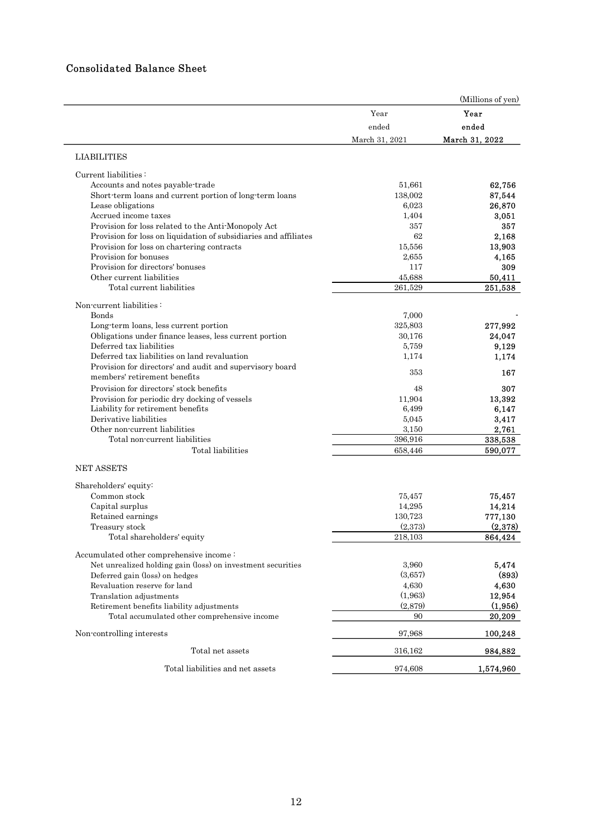## Consolidated Balance Sheet

|                                                                                                                                                                                                                                                                                                                                                                                                                                                                                                          | Year<br>ended<br>March 31, 2021                                                                 | (Millions of yen)<br>Year<br>ended<br>March 31, 2022                                               |
|----------------------------------------------------------------------------------------------------------------------------------------------------------------------------------------------------------------------------------------------------------------------------------------------------------------------------------------------------------------------------------------------------------------------------------------------------------------------------------------------------------|-------------------------------------------------------------------------------------------------|----------------------------------------------------------------------------------------------------|
| <b>LIABILITIES</b>                                                                                                                                                                                                                                                                                                                                                                                                                                                                                       |                                                                                                 |                                                                                                    |
| Current liabilities:<br>Accounts and notes payable-trade<br>Short-term loans and current portion of long-term loans<br>Lease obligations<br>Accrued income taxes<br>Provision for loss related to the Anti-Monopoly Act<br>Provision for loss on liquidation of subsidiaries and affiliates<br>Provision for loss on chartering contracts<br>Provision for bonuses<br>Provision for directors' bonuses<br>Other current liabilities<br>Total current liabilities                                         | 51,661<br>138,002<br>6,023<br>1,404<br>357<br>62<br>15,556<br>2,655<br>117<br>45,688<br>261,529 | 62,756<br>87,544<br>26,870<br>3,051<br>357<br>2,168<br>13,903<br>4,165<br>309<br>50,411<br>251,538 |
| Non-current liabilities:<br>Bonds<br>Long-term loans, less current portion<br>Obligations under finance leases, less current portion<br>Deferred tax liabilities<br>Deferred tax liabilities on land revaluation<br>Provision for directors' and audit and supervisory board<br>members' retirement benefits<br>Provision for directors' stock benefits<br>Provision for periodic dry docking of vessels<br>Liability for retirement benefits<br>Derivative liabilities<br>Other non-current liabilities | 7,000<br>325,803<br>30,176<br>5,759<br>1,174<br>353<br>48<br>11,904<br>6,499<br>5,045<br>3,150  | 277,992<br>24,047<br>9,129<br>1,174<br>167<br>307<br>13,392<br>6,147<br>3,417<br>2,761             |
| Total non-current liabilities<br>Total liabilities                                                                                                                                                                                                                                                                                                                                                                                                                                                       | 396,916<br>658,446                                                                              | 338,538<br>590,077                                                                                 |
| NET ASSETS<br>Shareholders' equity:<br>Common stock<br>Capital surplus<br>Retained earnings<br>Treasury stock<br>Total shareholders' equity                                                                                                                                                                                                                                                                                                                                                              | 75,457<br>14,295<br>130,723<br>(2,373)<br>218,103                                               | 75,457<br>14,214<br>777,130<br>(2,378)<br>864,424                                                  |
| Accumulated other comprehensive income:<br>Net unrealized holding gain (loss) on investment securities<br>Deferred gain (loss) on hedges<br>Revaluation reserve for land<br>Translation adjustments<br>Retirement benefits liability adjustments<br>Total accumulated other comprehensive income                                                                                                                                                                                                         | 3,960<br>(3,657)<br>4,630<br>(1,963)<br>(2,879)<br>90                                           | 5,474<br>(893)<br>4,630<br>12,954<br>(1,956)<br>20,209                                             |
| Non-controlling interests                                                                                                                                                                                                                                                                                                                                                                                                                                                                                | 97,968                                                                                          | 100,248                                                                                            |
| Total net assets                                                                                                                                                                                                                                                                                                                                                                                                                                                                                         | 316,162                                                                                         | 984,882                                                                                            |
| Total liabilities and net assets                                                                                                                                                                                                                                                                                                                                                                                                                                                                         | 974,608                                                                                         | 1,574,960                                                                                          |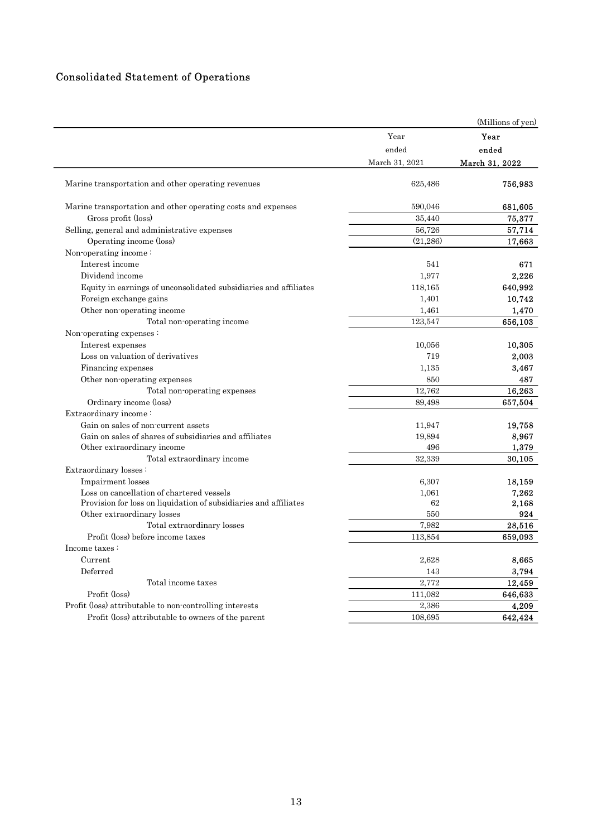# Consolidated Statement of Operations

| <b>Consolidated Statement of Operations</b>                             |                         |                         |
|-------------------------------------------------------------------------|-------------------------|-------------------------|
|                                                                         |                         |                         |
|                                                                         |                         |                         |
|                                                                         |                         | (Millions of yen)       |
|                                                                         |                         |                         |
|                                                                         | Year                    | Year                    |
|                                                                         | ended<br>March 31, 2021 | ended<br>March 31, 2022 |
| Marine transportation and other operating revenues                      | 625,486                 | 756,983                 |
|                                                                         |                         |                         |
| Marine transportation and other operating costs and expenses            | 590,046                 | 681,605                 |
| Gross profit (loss)                                                     | 35,440                  | 75,377                  |
| Selling, general and administrative expenses<br>Operating income (loss) | 56,726<br>(21,286)      | 57,714<br>17,663        |
| Non-operating income:                                                   |                         |                         |
| Interest income                                                         | 541                     | 671                     |
| Dividend income                                                         | 1,977                   | 2,226                   |
| Equity in earnings of unconsolidated subsidiaries and affiliates        | 118,165                 | 640,992                 |
| Foreign exchange gains                                                  | 1,401                   | 10,742                  |
| Other non-operating income                                              | 1,461                   | 1,470                   |
| Total non-operating income                                              | 123,547                 | 656,103                 |
| Non-operating expenses:                                                 |                         |                         |
| Interest expenses                                                       | 10,056                  | 10,305                  |
| Loss on valuation of derivatives                                        | 719                     | 2,003                   |
| Financing expenses                                                      | 1,135                   | 3,467                   |
| Other non-operating expenses                                            | 850                     | 487                     |
| Total non-operating expenses                                            | 12,762                  | 16,263                  |
| Ordinary income (loss)                                                  | 89,498                  | 657,504                 |
| Extraordinary income:<br>Gain on sales of non-current assets            |                         |                         |
| Gain on sales of shares of subsidiaries and affiliates                  | 11,947<br>19,894        | 19,758<br>8,967         |
| Other extraordinary income                                              | 496                     | 1,379                   |
| Total extraordinary income                                              | 32,339                  | 30,105                  |
| Extraordinary losses:                                                   |                         |                         |
| Impairment losses                                                       | 6,307                   | 18,159                  |
| Loss on cancellation of chartered vessels                               | 1,061                   | 7,262                   |
| Provision for loss on liquidation of subsidiaries and affiliates        | 62                      | 2,168                   |
| Other extraordinary losses                                              | 550                     | 924                     |
| Total extraordinary losses                                              | 7,982                   | 28,516                  |
| Profit (loss) before income taxes                                       | 113,854                 | 659,093                 |
| Income taxes:                                                           |                         |                         |
| Current<br>Deferred                                                     | 2,628                   | 8,665                   |
|                                                                         | 143<br>2,772            | 3,794                   |
| Total income taxes<br>Profit (loss)                                     | 111,082                 | 12,459<br>646,633       |
| Profit (loss) attributable to non-controlling interests                 | 2,386                   | 4,209                   |
|                                                                         |                         |                         |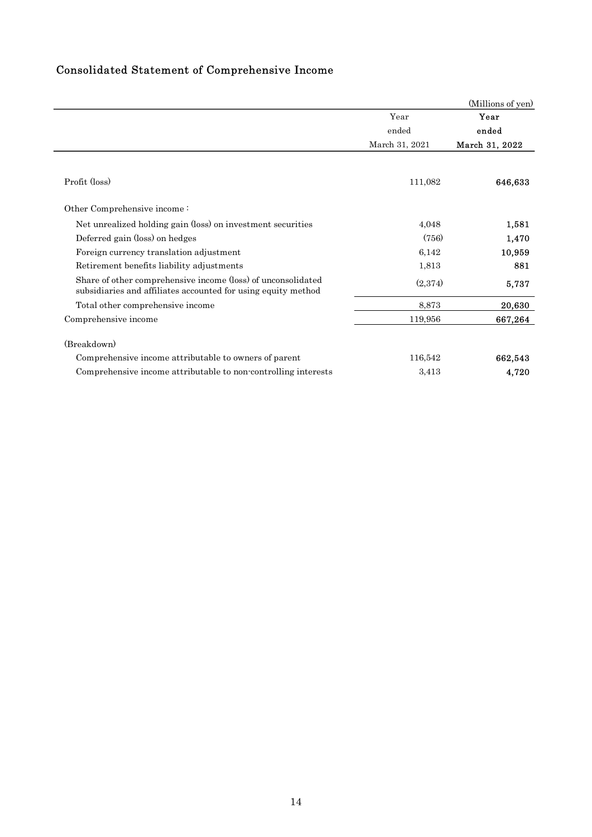| Consolidated Statement of Comprehensive Income |
|------------------------------------------------|
|------------------------------------------------|

| Consolidated Statement of Comprehensive Income                                                                                |                |                   |
|-------------------------------------------------------------------------------------------------------------------------------|----------------|-------------------|
|                                                                                                                               |                |                   |
|                                                                                                                               |                |                   |
|                                                                                                                               |                |                   |
|                                                                                                                               |                |                   |
|                                                                                                                               |                |                   |
|                                                                                                                               |                | (Millions of yen) |
|                                                                                                                               | Year           | Year              |
|                                                                                                                               | ended          | ended             |
|                                                                                                                               | March 31, 2021 | March 31, 2022    |
|                                                                                                                               |                |                   |
| Profit (loss)                                                                                                                 | 111,082        | 646,633           |
| Other Comprehensive income:                                                                                                   |                |                   |
| Net unrealized holding gain (loss) on investment securities                                                                   | 4,048          | 1,581             |
| Deferred gain (loss) on hedges                                                                                                | (756)          | 1,470             |
| Foreign currency translation adjustment                                                                                       | 6,142          | 10,959            |
| Retirement benefits liability adjustments                                                                                     | 1,813          | 881               |
| Share of other comprehensive income (loss) of unconsolidated<br>subsidiaries and affiliates accounted for using equity method | (2,374)        | 5,737             |
| Total other comprehensive income                                                                                              | 8,873          | 20,630            |
| Comprehensive income                                                                                                          | 119,956        | 667,264           |
| (Breakdown)                                                                                                                   |                |                   |
| Comprehensive income attributable to owners of parent                                                                         | 116,542        | 662,543           |
|                                                                                                                               | 3,413          | 4,720             |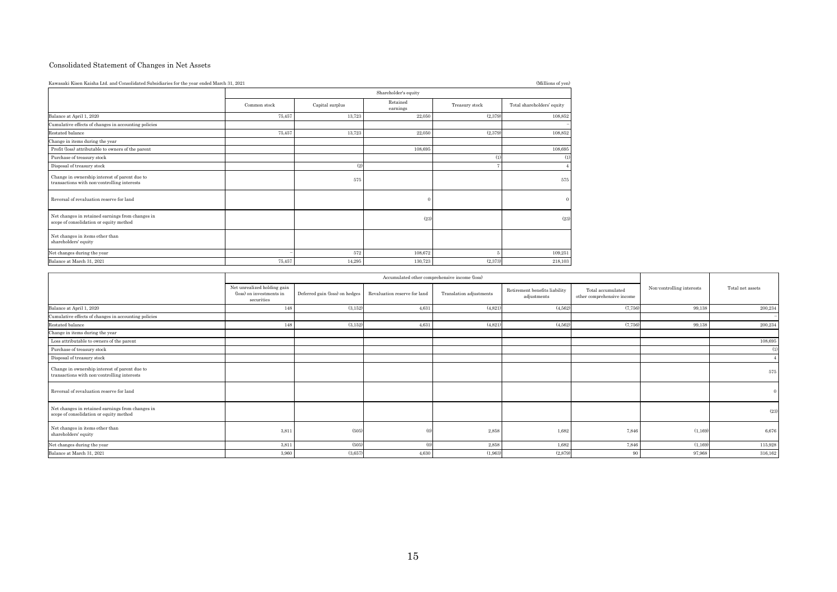#### Consolidated Statement of Changes in Net Assets

| Consolidated Statement of Changes in Net Assets                                              |                                                                       |                                |                                               |                         |                                              |                                                 |                           |                  |
|----------------------------------------------------------------------------------------------|-----------------------------------------------------------------------|--------------------------------|-----------------------------------------------|-------------------------|----------------------------------------------|-------------------------------------------------|---------------------------|------------------|
| Kawasaki Kisen Kaisha Ltd. and Consolidated Subsidiaries for the year ended March 31, 2021   |                                                                       |                                |                                               |                         | (Millions of yen)                            |                                                 |                           |                  |
|                                                                                              |                                                                       |                                | Shareholder's equity                          |                         |                                              |                                                 |                           |                  |
|                                                                                              | Common stock                                                          |                                | Retained                                      | Treasury stock          |                                              |                                                 |                           |                  |
|                                                                                              |                                                                       | Capital surplus                | earnings                                      |                         |                                              |                                                 |                           |                  |
| Balance at April 1, 2020<br>Cumulative effects of changes in accounting policies             | 75,457                                                                | 13,723                         | 22,050                                        | (2,37)                  | 108,852                                      |                                                 |                           |                  |
| Restated balance                                                                             | 75,457                                                                | 13,723                         | 22,050                                        | (2,379)                 | 108,852                                      |                                                 |                           |                  |
| Change in items during the year                                                              |                                                                       |                                |                                               |                         |                                              |                                                 |                           |                  |
| Profit (loss) attributable to owners of the parent                                           |                                                                       |                                | 108,695                                       |                         | 108,695                                      |                                                 |                           |                  |
| Purchase of treasury stock<br>Disposal of treasury stock                                     |                                                                       | (2)                            |                                               |                         | (1)                                          |                                                 |                           |                  |
|                                                                                              |                                                                       |                                |                                               |                         |                                              |                                                 |                           |                  |
| Change in ownership interest of parent due to<br>transactions with non-controlling interests |                                                                       | $575\,$                        |                                               |                         | 575                                          |                                                 |                           |                  |
| Reversal of revaluation reserve for land                                                     |                                                                       |                                |                                               |                         |                                              |                                                 |                           |                  |
| Net changes in retained earnings from changes in                                             |                                                                       |                                | (23)                                          |                         | (23)                                         |                                                 |                           |                  |
| scope of consolidation or equity method                                                      |                                                                       |                                |                                               |                         |                                              |                                                 |                           |                  |
| Net changes in items other than<br>shareholders' equity                                      |                                                                       |                                |                                               |                         |                                              |                                                 |                           |                  |
| Net changes during the year<br>Balance at March 31, 2021                                     | 75,457                                                                | $572\,$<br>14,295              | 108,672<br>130,723                            | (2,373)                 | 109,251<br>218,103                           |                                                 |                           |                  |
|                                                                                              |                                                                       |                                |                                               |                         |                                              |                                                 |                           |                  |
|                                                                                              |                                                                       |                                | Accumulated other comprehensive income (loss) |                         |                                              |                                                 |                           |                  |
|                                                                                              | Net unrealized holding gain<br>(loss) on investments in<br>securities | Deferred gain (loss) on hedges | Revaluation reserve for land                  | Translation adjustments | Retirement benefits liability<br>adjustments | Total accumulated<br>other comprehensive income | Non-controlling interests | Total net assets |
| Balance at April 1, 2020                                                                     | 148                                                                   | (3, 152)                       | 4,631                                         | (4,821)                 | (4,562)                                      | (7,756)                                         | 99,138                    | 200,234          |
| Cumulative effects of changes in accounting policies                                         |                                                                       |                                |                                               |                         |                                              |                                                 |                           |                  |
|                                                                                              | 148                                                                   | (3, 152)                       | 4,631                                         | (4,821)                 | (4,562)                                      | (7, 756)                                        | 99,138                    | 200,234          |
| Restated balance                                                                             |                                                                       |                                |                                               |                         |                                              |                                                 |                           | 108,695          |
| Change in items during the year<br>Loss attributable to owners of the parent                 |                                                                       |                                |                                               |                         |                                              |                                                 |                           |                  |
| Purchase of treasury stock                                                                   |                                                                       |                                |                                               |                         |                                              |                                                 |                           |                  |
| $\hfill$ Disposal of treasury stock                                                          |                                                                       |                                |                                               |                         |                                              |                                                 |                           |                  |
| Change in ownership interest of parent due to<br>transactions with non-controlling interests |                                                                       |                                |                                               |                         |                                              |                                                 |                           | 575              |

|                                                                                              | <sub>.</sub>                                                          |                                |                              |                                               | $\cdots$                                     |                                                 |                           |                  |
|----------------------------------------------------------------------------------------------|-----------------------------------------------------------------------|--------------------------------|------------------------------|-----------------------------------------------|----------------------------------------------|-------------------------------------------------|---------------------------|------------------|
|                                                                                              |                                                                       |                                | Shareholder's equity         |                                               |                                              |                                                 |                           |                  |
|                                                                                              | Common stock                                                          | $Capital$ surplus              | Retained<br>earnings         | Treasury stock                                | Total shareholders' equity                   |                                                 |                           |                  |
| Balance at April 1, 2020                                                                     | 75,457                                                                | 13,723                         | 22,050                       | (2,379)                                       | 108,852                                      |                                                 |                           |                  |
| Cumulative effects of changes in accounting policies                                         |                                                                       |                                |                              |                                               |                                              |                                                 |                           |                  |
| Restated balance                                                                             | 75,457                                                                | 13,723                         | 22,050                       | (2,379)                                       | 108,852                                      |                                                 |                           |                  |
| Change in items during the year                                                              |                                                                       |                                |                              |                                               |                                              |                                                 |                           |                  |
| Profit (loss) attributable to owners of the parent                                           |                                                                       |                                | 108,695                      |                                               | 108,695                                      |                                                 |                           |                  |
| Purchase of treasury stock                                                                   |                                                                       |                                |                              | (1)                                           | (1)                                          |                                                 |                           |                  |
| Disposal of treasury stock                                                                   |                                                                       | (2)                            |                              |                                               |                                              |                                                 |                           |                  |
| Change in ownership interest of parent due to<br>transactions with non-controlling interests |                                                                       | 575                            |                              |                                               | 575                                          |                                                 |                           |                  |
| Reversal of revaluation reserve for land                                                     |                                                                       |                                |                              |                                               |                                              |                                                 |                           |                  |
| Net changes in retained earnings from changes in<br>scope of consolidation or equity method  |                                                                       |                                | (23)                         |                                               | (2)                                          |                                                 |                           |                  |
| Net changes in items other than<br>shareholders' equity                                      |                                                                       |                                |                              |                                               |                                              |                                                 |                           |                  |
| Net changes during the year                                                                  |                                                                       | 572                            | 108,672                      | $-5$                                          | 109,251                                      |                                                 |                           |                  |
| Balance at March 31, 2021                                                                    | 75,457                                                                | 14,295                         | 130,723                      | (2,373)                                       | 218,103                                      |                                                 |                           |                  |
|                                                                                              |                                                                       |                                |                              |                                               |                                              |                                                 |                           |                  |
|                                                                                              |                                                                       |                                |                              | Accumulated other comprehensive income (loss) |                                              |                                                 |                           |                  |
|                                                                                              | Net unrealized holding gain<br>(loss) on investments in<br>securities | Deferred gain (loss) on hedges | Revaluation reserve for land | Translation adjustments                       | Retirement benefits liability<br>adjustments | Total accumulated<br>other comprehensive income | Non-controlling interests | Total net assets |
| Balance at April 1, 2020                                                                     | 148                                                                   | (3, 152)                       | 4,631                        | (4,821)                                       | (4,562)                                      | (7,756)                                         | 99,138                    | 200,234          |
| Cumulative effects of changes in accounting policies                                         |                                                                       |                                |                              |                                               |                                              |                                                 |                           |                  |
| Restated balance                                                                             | 148                                                                   | (3, 152)                       | 4,631                        | (4,821)                                       | (4,562)                                      | (7,756)                                         | 99,138                    | 200,234          |
| Change in items during the year                                                              |                                                                       |                                |                              |                                               |                                              |                                                 |                           |                  |
| Loss attributable to owners of the parent                                                    |                                                                       |                                |                              |                                               |                                              |                                                 |                           | 108,695          |
| Purchase of treasury stock                                                                   |                                                                       |                                |                              |                                               |                                              |                                                 |                           |                  |
| Disposal of treasury stock                                                                   |                                                                       |                                |                              |                                               |                                              |                                                 |                           |                  |
| Change in ownership interest of parent due to<br>transactions with non-controlling interests |                                                                       |                                |                              |                                               |                                              |                                                 |                           | 575              |
| Reversal of revaluation reserve for land                                                     |                                                                       |                                |                              |                                               |                                              |                                                 |                           |                  |
| Net changes in retained earnings from changes in<br>scope of consolidation or equity method  |                                                                       |                                |                              |                                               |                                              |                                                 |                           | (23)             |
| Net changes in items other than<br>shareholders' equity                                      | 3,811                                                                 | (505)                          |                              | 2,858                                         | 1,682                                        | 7,846                                           | (1,169)                   | 6,676            |
| Net changes during the year                                                                  | 3,811                                                                 | (505)                          | (0)                          | 2,858                                         | 1,682                                        | 7,846                                           | (1,169)                   | 115,928          |
| Balance at March 31, 2021                                                                    | 3,960                                                                 | (3,657)                        | 4,630                        | (1,963)                                       | (2,879)                                      | 90                                              | 97,968                    | 316,162          |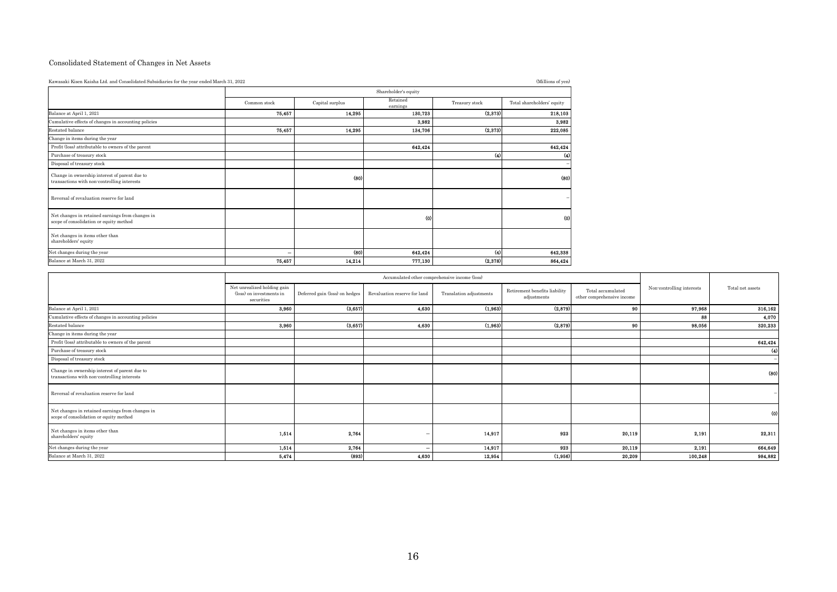#### Consolidated Statement of Changes in Net Assets

| Consolidated Statement of Changes in Net Assets                                              |                                        |                 |                                                             |                         |                               |                            |                                           |                  |
|----------------------------------------------------------------------------------------------|----------------------------------------|-----------------|-------------------------------------------------------------|-------------------------|-------------------------------|----------------------------|-------------------------------------------|------------------|
| Kawasaki Kisen Kaisha Ltd. and Consolidated Subsidiaries for the year ended March 31, 2022   |                                        |                 |                                                             |                         | (Millions of yen)             |                            |                                           |                  |
|                                                                                              |                                        |                 | Shareholder's equity                                        |                         |                               |                            |                                           |                  |
|                                                                                              | Common stock                           | Capital surplus | Retained                                                    | Treasury stock          | Total shareholders' equity    |                            |                                           |                  |
| Balance at April 1, 2021                                                                     | 75,457                                 | 14,295          | earnings<br>130,723                                         | (2,373)                 | 218,103                       |                            |                                           |                  |
| Cumulative effects of changes in accounting policies                                         |                                        |                 | 3,982                                                       |                         | 3,982                         |                            |                                           |                  |
| Restated balance                                                                             | 75,457                                 | 14,295          | 134,706                                                     | (2, 373)                | 222,085                       |                            |                                           |                  |
| Change in items during the year                                                              |                                        |                 |                                                             |                         |                               |                            |                                           |                  |
| Profit (loss) attributable to owners of the parent<br>Purchase of treasury stock             |                                        |                 | 642,424                                                     | (4)                     | 642,424<br>(4)                |                            |                                           |                  |
| Disposal of treasury stock                                                                   |                                        |                 |                                                             |                         |                               |                            |                                           |                  |
| Change in ownership interest of parent due to                                                |                                        |                 |                                                             |                         |                               |                            |                                           |                  |
| transactions with non-controlling interests                                                  |                                        | (80)            |                                                             |                         |                               |                            |                                           |                  |
|                                                                                              |                                        |                 |                                                             |                         |                               |                            |                                           |                  |
| Reversal of revaluation reserve for land                                                     |                                        |                 |                                                             |                         |                               |                            |                                           |                  |
| Net changes in retained earnings from changes in                                             |                                        |                 |                                                             |                         |                               |                            |                                           |                  |
| scope of consolidation or equity method                                                      |                                        |                 |                                                             |                         |                               |                            |                                           |                  |
| Net changes in items other than                                                              |                                        |                 |                                                             |                         |                               |                            |                                           |                  |
| shareholders' equity                                                                         |                                        |                 |                                                             |                         |                               |                            |                                           |                  |
| Net changes during the year<br>Balance at March 31, 2022                                     | $\overline{\phantom{a}}$               | (80)            | 642,424                                                     | (4)                     | 642,338                       |                            |                                           |                  |
|                                                                                              | 75,457                                 | 14,214          | 777,130                                                     | (2, 378)                | 864,424                       |                            |                                           |                  |
|                                                                                              |                                        |                 | Accumulated other comprehensive income (loss)               |                         |                               |                            |                                           |                  |
|                                                                                              | Net unrealized holding gain            |                 |                                                             |                         | Retirement benefits liability | Total accumulated          | $\mbox{Non-controlling}\xspace$ interests | Total net assets |
|                                                                                              | (loss) on investments in<br>securities |                 | Deferred gain (loss) on hedges Revaluation reserve for land | Translation adjustments | adjustments                   | other comprehensive income |                                           |                  |
| Balance at April 1, $2021\,$                                                                 | 3,960                                  | (3,657)         | 4,630                                                       | (1,963)                 | (2,879)                       | - 90                       | 97,968                                    | 316,162          |
| Cumulative effects of changes in accounting policies                                         |                                        |                 |                                                             |                         |                               |                            | 88                                        | 4,070            |
| Restated balance                                                                             | 3,960                                  | (3,657)         | 4,630                                                       | (1,963)                 | (2,879)                       | 90                         | 98,056                                    | 320,233          |
|                                                                                              |                                        |                 |                                                             |                         |                               |                            |                                           | 642,424          |
| Change in items $\overline{\operatorname{during}}$ the year                                  |                                        |                 |                                                             |                         |                               |                            |                                           | $\mathbf{u}$     |
| Profit (loss) attributable to owners of the parent                                           |                                        |                 |                                                             |                         |                               |                            |                                           |                  |
| Purchase of treasury stock<br>Disposal of treasury stock                                     |                                        |                 |                                                             |                         |                               |                            |                                           | (80)             |
|                                                                                              |                                        |                 |                                                             |                         |                               |                            |                                           |                  |
| Change in ownership interest of parent due to<br>transactions with non-controlling interests |                                        |                 |                                                             |                         |                               |                            |                                           |                  |

| Change in ownership interest of parent due to<br>transactions with non-controlling interests |                                                                       | (80)                           |                                                                               |                         | (80)                                         |                                                 |                           |                    |
|----------------------------------------------------------------------------------------------|-----------------------------------------------------------------------|--------------------------------|-------------------------------------------------------------------------------|-------------------------|----------------------------------------------|-------------------------------------------------|---------------------------|--------------------|
| Reversal of revaluation reserve for land                                                     |                                                                       |                                |                                                                               |                         |                                              |                                                 |                           |                    |
| Net changes in retained earnings from changes in<br>scope of consolidation or equity method  |                                                                       |                                | f.                                                                            |                         | (0)                                          |                                                 |                           |                    |
| Net changes in items other than<br>shareholders' equity                                      |                                                                       |                                |                                                                               |                         |                                              |                                                 |                           |                    |
| Net changes during the year                                                                  |                                                                       | (80)                           | 642,424                                                                       | $\omega$                | 642,338                                      |                                                 |                           |                    |
| Balance at March 31, 2022                                                                    | 75,457                                                                | 14,214                         | 777,130                                                                       | (2,378)                 | 864,424                                      |                                                 |                           |                    |
|                                                                                              |                                                                       |                                |                                                                               |                         |                                              |                                                 |                           |                    |
|                                                                                              | Net unrealized holding gain<br>(loss) on investments in<br>securities | Deferred gain (loss) on hedges | Accumulated other comprehensive income (loss)<br>Revaluation reserve for land | Translation adjustments | Retirement benefits liability<br>adjustments | Total accumulated<br>other comprehensive income | Non-controlling interests | Total net assets   |
| Balance at April 1, 2021                                                                     | 3,960                                                                 | (3,657)                        | 4,630                                                                         | (1,963)                 | (2,879)                                      | 90                                              | 97,968                    | 316,162            |
| Cumulative effects of changes in accounting policies                                         |                                                                       |                                |                                                                               |                         |                                              |                                                 | 88                        | 4,070              |
| Restated balance                                                                             | 3,960                                                                 | (3,657)                        | 4,630                                                                         | (1,963)                 | (2,879)                                      | 90                                              | 98,056                    | 320,233            |
| Change in items during the year                                                              |                                                                       |                                |                                                                               |                         |                                              |                                                 |                           |                    |
| Profit (loss) attributable to owners of the parent                                           |                                                                       |                                |                                                                               |                         |                                              |                                                 |                           | 642,424            |
| Purchase of treasury stock                                                                   |                                                                       |                                |                                                                               |                         |                                              |                                                 |                           | $\left( 4 \right)$ |
| Disposal of treasury stock                                                                   |                                                                       |                                |                                                                               |                         |                                              |                                                 |                           |                    |
| Change in ownership interest of parent due to<br>transactions with non-controlling interests |                                                                       |                                |                                                                               |                         |                                              |                                                 |                           | (80)               |
| Reversal of revaluation reserve for land                                                     |                                                                       |                                |                                                                               |                         |                                              |                                                 |                           |                    |
| Net changes in retained earnings from changes in<br>scope of consolidation or equity method  |                                                                       |                                |                                                                               |                         |                                              |                                                 |                           | (0)                |
| Net changes in items other than<br>shareholders' equity                                      | 1,514                                                                 | 2,764                          |                                                                               | 14,917                  | 923                                          | 20,119                                          | 2,191                     | 22,311             |
| Net changes during the year                                                                  | 1,514                                                                 | 2,764                          |                                                                               | 14,917                  | 923                                          | 20,119                                          | 2,191                     | 664,649            |
|                                                                                              | 5,474                                                                 | (893)                          | 4,630                                                                         | 12,954                  | (1,956)                                      | 20,209                                          | 100,248                   | 984,882            |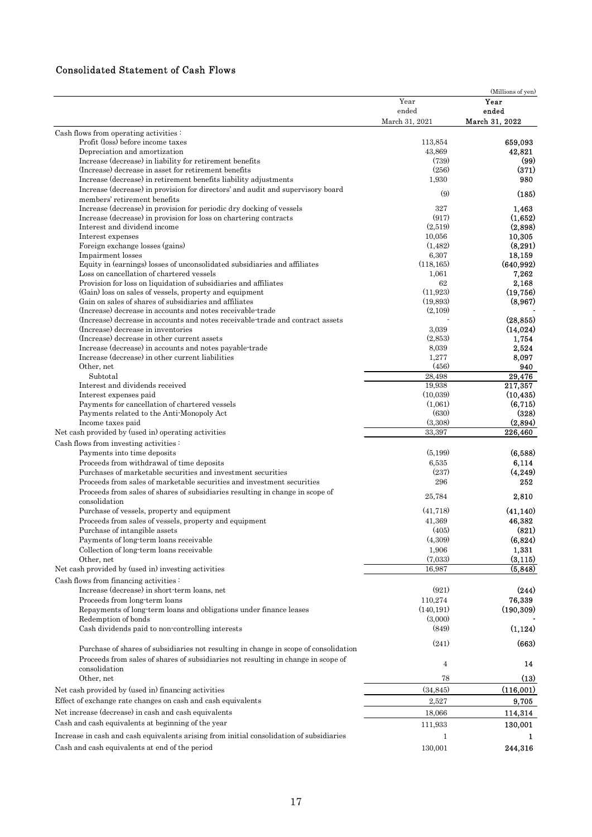## Consolidated Statement of Cash Flows

|                                                                                          |                | (Millions of yen)    |
|------------------------------------------------------------------------------------------|----------------|----------------------|
|                                                                                          | Year           | Year                 |
|                                                                                          | ended          | ended                |
|                                                                                          | March 31, 2021 | March 31, 2022       |
| Cash flows from operating activities:                                                    |                |                      |
| Profit (loss) before income taxes                                                        | 113,854        | 659,093              |
| Depreciation and amortization                                                            | 43,869         | 42,821               |
| Increase (decrease) in liability for retirement benefits                                 | (739)          | (99)                 |
| (Increase) decrease in asset for retirement benefits                                     | (256)          | (371)                |
| Increase (decrease) in retirement benefits liability adjustments                         | 1,930          | 980                  |
| Increase (decrease) in provision for directors' and audit and supervisory board          |                |                      |
| members' retirement benefits                                                             | (9)            | (185)                |
| Increase (decrease) in provision for periodic dry docking of vessels                     | 327            | 1,463                |
| Increase (decrease) in provision for loss on chartering contracts                        | (917)          | (1,652)              |
| Interest and dividend income                                                             | (2,519)        | (2,898)              |
| Interest expenses                                                                        | 10,056         | 10,305               |
|                                                                                          | (1, 482)       | (8, 291)             |
| Foreign exchange losses (gains)                                                          |                |                      |
| Impairment losses                                                                        | 6,307          | 18,159<br>(640, 992) |
| Equity in (earnings) losses of unconsolidated subsidiaries and affiliates                | (118, 165)     |                      |
| Loss on cancellation of chartered vessels                                                | 1,061          | 7,262                |
| Provision for loss on liquidation of subsidiaries and affiliates                         | 62             | 2,168                |
| (Gain) loss on sales of vessels, property and equipment                                  | (11, 923)      | (19, 756)            |
| Gain on sales of shares of subsidiaries and affiliates                                   | (19,893)       | (8,967)              |
| (Increase) decrease in accounts and notes receivable-trade                               | (2,109)        |                      |
| (Increase) decrease in accounts and notes receivable trade and contract assets           |                | (28, 855)            |
| (Increase) decrease in inventories                                                       | 3,039          | (14, 024)            |
| (Increase) decrease in other current assets                                              | (2,853)        | 1,754                |
| Increase (decrease) in accounts and notes payable-trade                                  | 8,039          | 2,524                |
| Increase (decrease) in other current liabilities                                         | 1,277          | 8,097                |
| Other, net                                                                               | (456)          | 940                  |
| Subtotal                                                                                 | 28,498         | $\frac{1}{29,476}$   |
| Interest and dividends received                                                          | 19,938         | 217,357              |
| Interest expenses paid                                                                   | (10,039)       | (10, 435)            |
| Payments for cancellation of chartered vessels                                           | (1,061)        | (6, 715)             |
| Payments related to the Anti-Monopoly Act                                                | (630)          | (328)                |
| Income taxes paid                                                                        | (3,308)        | (2,894)              |
| Net cash provided by (used in) operating activities                                      | 33,397         | 226,460              |
| Cash flows from investing activities:                                                    |                |                      |
|                                                                                          |                | (6,588)              |
| Payments into time deposits                                                              | (5, 199)       |                      |
| Proceeds from withdrawal of time deposits                                                | 6,535          | 6,114                |
| Purchases of marketable securities and investment securities                             | (237)          | (4, 249)             |
| Proceeds from sales of marketable securities and investment securities                   | 296            | 252                  |
| Proceeds from sales of shares of subsidiaries resulting in change in scope of            | 25,784         | 2,810                |
| consolidation                                                                            |                |                      |
| Purchase of vessels, property and equipment                                              | (41, 718)      | (41, 140)            |
| Proceeds from sales of vessels, property and equipment                                   | 41,369         | 46,382               |
| Purchase of intangible assets                                                            | (405)          | (821)                |
| Payments of long-term loans receivable                                                   | (4,309)        | (6, 824)             |
| Collection of long-term loans receivable                                                 | 1,906          | 1,331                |
| Other, net                                                                               | (7,033)        | (3, 115)             |
| Net cash provided by (used in) investing activities                                      | 16,987         | (5, 848)             |
|                                                                                          |                |                      |
| Cash flows from financing activities:                                                    |                |                      |
| Increase (decrease) in short-term loans, net                                             | (921)          | (244)                |
| Proceeds from long-term loans                                                            | 110,274        | 76,339               |
| Repayments of long-term loans and obligations under finance leases                       | (140, 191)     | (190, 309)           |
| Redemption of bonds                                                                      | (3,000)        |                      |
| Cash dividends paid to non-controlling interests                                         | (849)          | (1, 124)             |
|                                                                                          |                |                      |
| Purchase of shares of subsidiaries not resulting in change in scope of consolidation     | (241)          | (663)                |
|                                                                                          |                |                      |
| Proceeds from sales of shares of subsidiaries not resulting in change in scope of        | $\overline{4}$ | 14                   |
| consolidation                                                                            |                |                      |
| Other, net                                                                               | 78             | (13)                 |
| Net cash provided by (used in) financing activities                                      | (34, 845)      | (116,001)            |
| Effect of exchange rate changes on cash and cash equivalents                             | 2,527          | 9,705                |
|                                                                                          |                |                      |
| Net increase (decrease) in cash and cash equivalents                                     | 18,066         | 114,314              |
| Cash and cash equivalents at beginning of the year                                       | 111,933        | 130,001              |
| Increase in cash and cash equivalents arising from initial consolidation of subsidiaries | 1              | 1                    |
|                                                                                          |                |                      |
| Cash and cash equivalents at end of the period                                           | 130,001        | 244,316              |